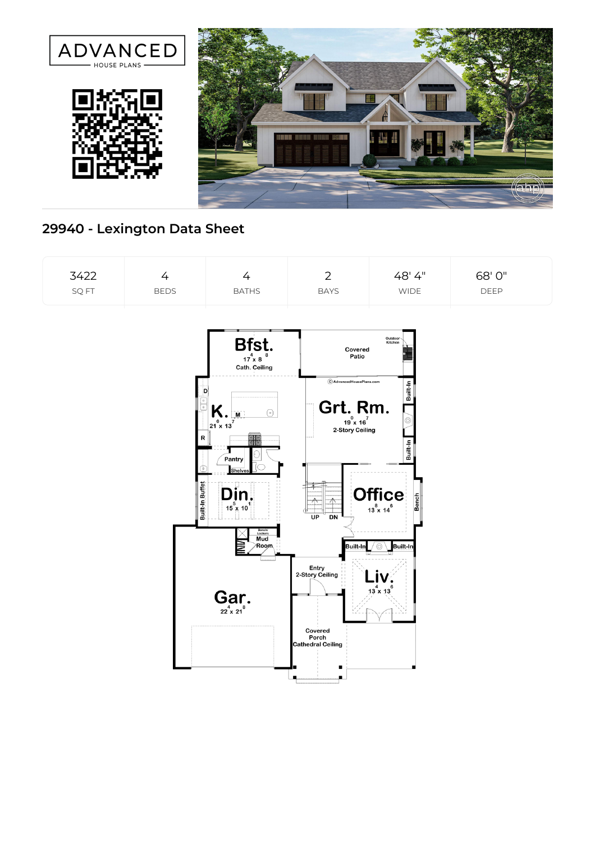

## **29940 - Lexington Data Sheet**

| 3422<br>SQ FT | $\overline{4}$<br><b>BEDS</b> | $\overline{4}$<br><b>BATHS</b>                                  | $\overline{2}$<br><b>BAYS</b>                   | 48' 4"<br><b>WIDE</b>                                                              | 68' 0"<br>DEEP |
|---------------|-------------------------------|-----------------------------------------------------------------|-------------------------------------------------|------------------------------------------------------------------------------------|----------------|
|               |                               | Bfst.                                                           | Covered<br>Patio                                | Outdoor<br>Kitchen                                                                 |                |
|               |                               | Cath. Ceiling<br>Ð<br>$\bigcirc$                                | $\copyright$ AdvancedHousePlans.com<br>Grt. Rm. | Built-In                                                                           |                |
|               | R                             | $K_{21 \times 13}$<br>18<br>Pantry                              | $19^{0} \times 16^{7}$<br>2-Story Ceiling       | ⊚<br>Built-In                                                                      |                |
|               | Built-In Buffet               | C<br><b>Shelves</b><br>Din.<br>$15\frac{5}{18}$ 10 <sup>1</sup> |                                                 | <b>Office</b><br><b>Bench</b><br>$13\overset{8}{\times}14\overset{6}{\phantom{1}}$ |                |
|               |                               | Bench/<br>Lockers<br>Mud<br>ÆN<br>Room                          | $\overline{UP}$<br>DN<br>Built-In               | <b>Built-In</b><br>⊙                                                               |                |
|               |                               | $\operatorname*{Gar}_{22 \times 21}$ .                          | Entry<br>2-Story Ceiling                        | $13^{4} \times 13^{6}$                                                             |                |
|               |                               |                                                                 | Covered<br>Porch<br><b>Cathedral Ceiling</b>    |                                                                                    |                |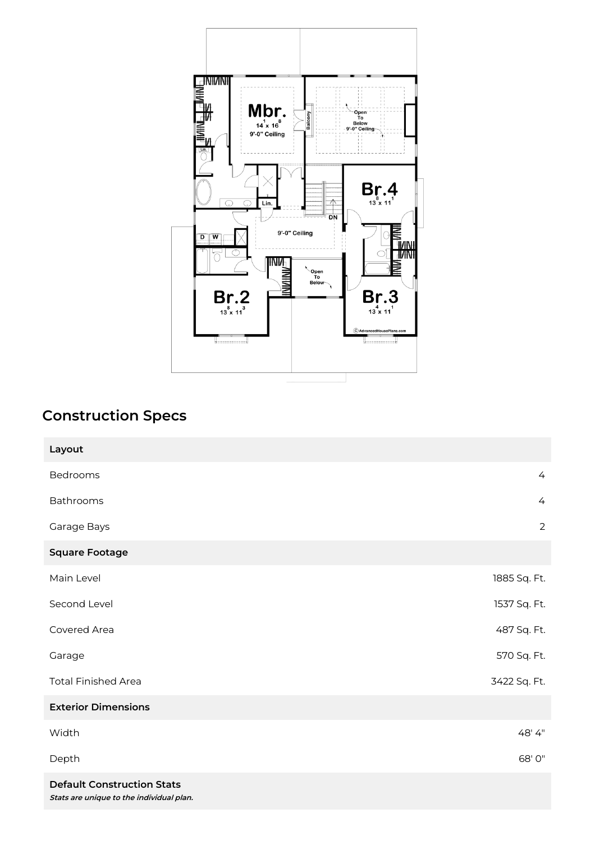

## **Construction Specs**

| Layout                     |                |
|----------------------------|----------------|
| Bedrooms                   | $\overline{4}$ |
| Bathrooms                  | $\overline{4}$ |
| Garage Bays                | $\overline{2}$ |
| <b>Square Footage</b>      |                |
| Main Level                 | 1885 Sq. Ft.   |
| Second Level               | 1537 Sq. Ft.   |
| Covered Area               | 487 Sq. Ft.    |
| Garage                     | 570 Sq. Ft.    |
| <b>Total Finished Area</b> | 3422 Sq. Ft.   |
| <b>Exterior Dimensions</b> |                |
| Width                      | 48'4"          |
| Depth                      | 68' 0"         |
|                            |                |

**Default Construction Stats Stats are unique to the individual plan.**